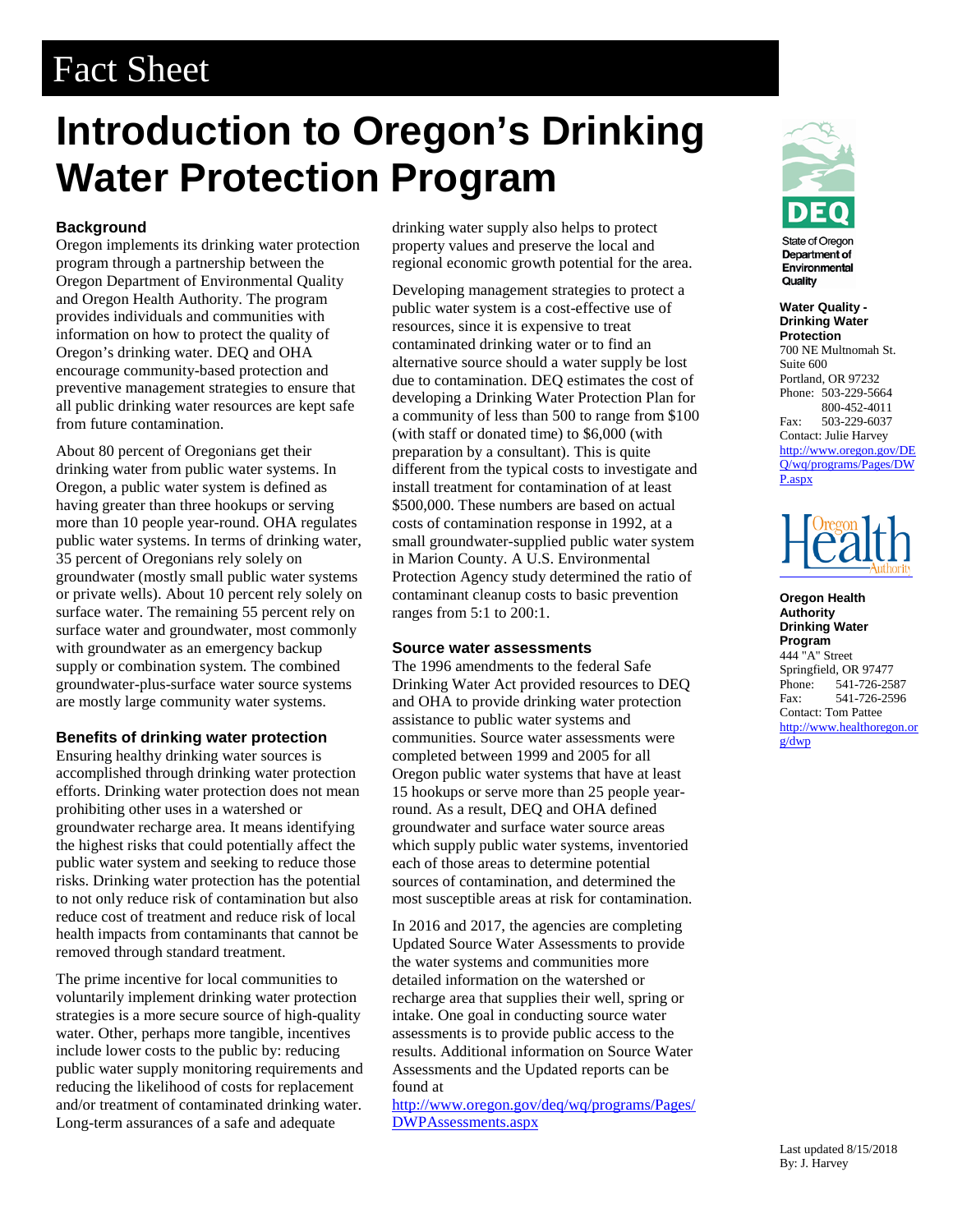# Fact Sheet

# **Introduction to Oregon's Drinking Water Protection Program**

# **Background**

Oregon implements its drinking water protection program through a partnership between the Oregon Department of Environmental Quality and Oregon Health Authority. The program provides individuals and communities with information on how to protect the quality of Oregon's drinking water. DEQ and OHA encourage community-based protection and preventive management strategies to ensure that all public drinking water resources are kept safe from future contamination.

About 80 percent of Oregonians get their drinking water from public water systems. In Oregon, a public water system is defined as having greater than three hookups or serving more than 10 people year-round. OHA regulates public water systems. In terms of drinking water, 35 percent of Oregonians rely solely on groundwater (mostly small public water systems or private wells). About 10 percent rely solely on surface water. The remaining 55 percent rely on surface water and groundwater, most commonly with groundwater as an emergency backup supply or combination system. The combined groundwater-plus-surface water source systems are mostly large community water systems.

#### **Benefits of drinking water protection**

Ensuring healthy drinking water sources is accomplished through drinking water protection efforts. Drinking water protection does not mean prohibiting other uses in a watershed or groundwater recharge area. It means identifying the highest risks that could potentially affect the public water system and seeking to reduce those risks. Drinking water protection has the potential to not only reduce risk of contamination but also reduce cost of treatment and reduce risk of local health impacts from contaminants that cannot be removed through standard treatment.

The prime incentive for local communities to voluntarily implement drinking water protection strategies is a more secure source of high-quality water. Other, perhaps more tangible, incentives include lower costs to the public by: reducing public water supply monitoring requirements and reducing the likelihood of costs for replacement and/or treatment of contaminated drinking water. Long-term assurances of a safe and adequate

drinking water supply also helps to protect property values and preserve the local and regional economic growth potential for the area.

Developing management strategies to protect a public water system is a cost-effective use of resources, since it is expensive to treat contaminated drinking water or to find an alternative source should a water supply be lost due to contamination. DEQ estimates the cost of developing a Drinking Water Protection Plan for a community of less than 500 to range from \$100 (with staff or donated time) to \$6,000 (with preparation by a consultant). This is quite different from the typical costs to investigate and install treatment for contamination of at least \$500,000. These numbers are based on actual costs of contamination response in 1992, at a small groundwater-supplied public water system in Marion County. A U.S. Environmental Protection Agency study determined the ratio of contaminant cleanup costs to basic prevention ranges from 5:1 to 200:1.

#### **Source water assessments**

The 1996 amendments to the federal Safe Drinking Water Act provided resources to DEQ and OHA to provide drinking water protection assistance to public water systems and communities. Source water assessments were completed between 1999 and 2005 for all Oregon public water systems that have at least 15 hookups or serve more than 25 people yearround. As a result, DEQ and OHA defined groundwater and surface water source areas which supply public water systems, inventoried each of those areas to determine potential sources of contamination, and determined the most susceptible areas at risk for contamination.

In 2016 and 2017, the agencies are completing Updated Source Water Assessments to provide the water systems and communities more detailed information on the watershed or recharge area that supplies their well, spring or intake. One goal in conducting source water assessments is to provide public access to the results. Additional information on Source Water Assessments and the Updated reports can be found at

[http://www.oregon.gov/deq/wq/programs/Pages/](http://www.oregon.gov/deq/wq/programs/Pages/DWPAssessments.aspx) [DWPAssessments.aspx](http://www.oregon.gov/deq/wq/programs/Pages/DWPAssessments.aspx)



State of Oregon Department of Environmental Quality

**Water Quality - Drinking Water Protection**  700 NE Multnomah St. Suite 600 Portland, OR 97232 Phone: 503-229-5664 800-452-4011 Fax: 503-229-6037 Contact: Julie Harvey [http://www.oregon.gov/DE](http://www.oregon.gov/DEQ/wq/programs/Pages/DWP.aspx) [Q/wq/programs/Pages/DW](http://www.oregon.gov/DEQ/wq/programs/Pages/DWP.aspx) [P.aspx](http://www.oregon.gov/DEQ/wq/programs/Pages/DWP.aspx)



**Oregon Health Authority Drinking Water Program** 444 "A" Street

Springfield, OR 97477 Phone: 541-726-2587 Fax: 541-726-2596 Contact: Tom Pattee [http://www.healthoregon.or](http://www.healthoregon.org/dwp) [g/dwp](http://www.healthoregon.org/dwp)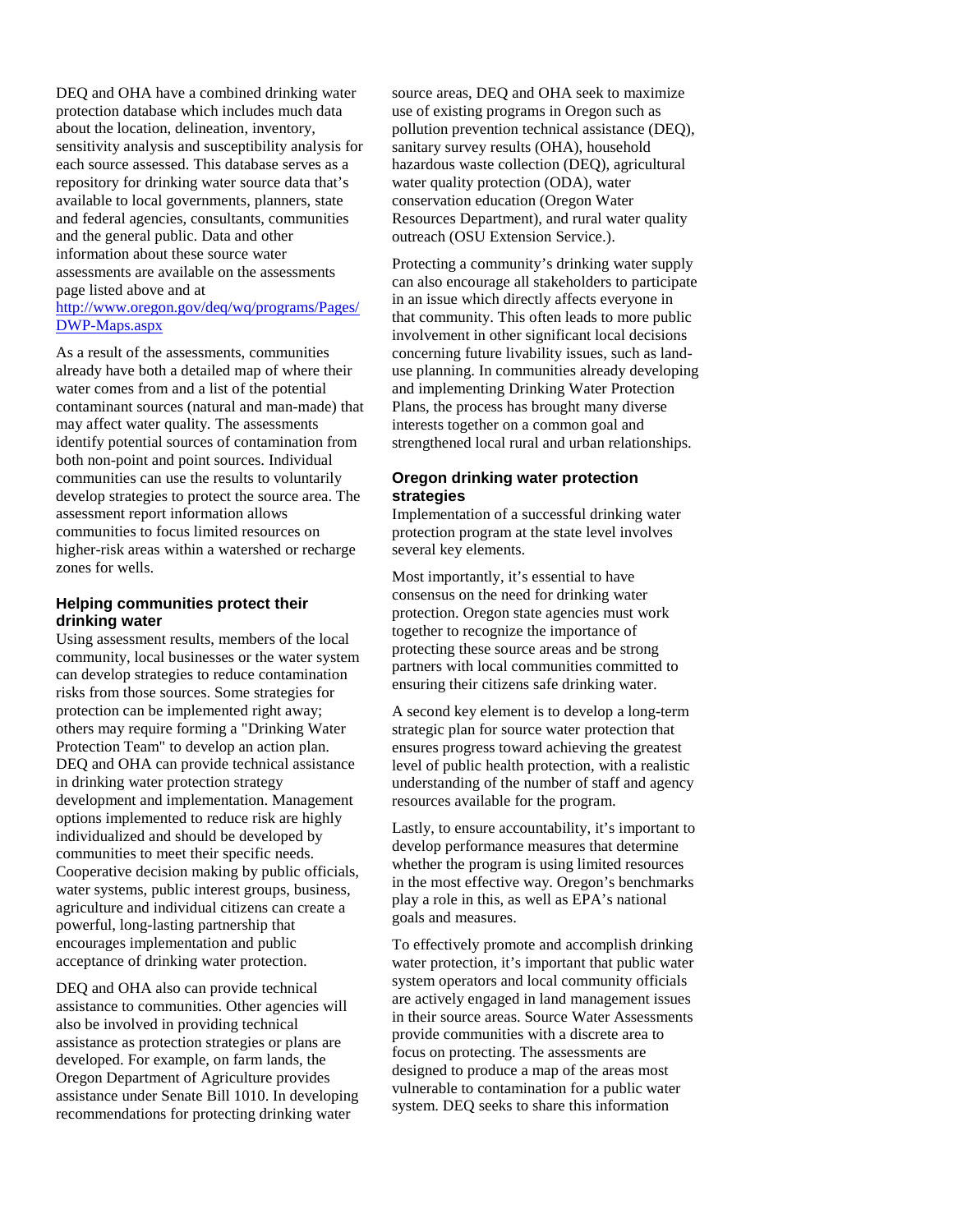DEQ and OHA have a combined drinking water protection database which includes much data about the location, delineation, inventory, sensitivity analysis and susceptibility analysis for each source assessed. This database serves as a repository for drinking water source data that's available to local governments, planners, state and federal agencies, consultants, communities and the general public. Data and other information about these source water assessments are available on the assessments page listed above and at

### [http://www.oregon.gov/deq/wq/programs/Pages/](http://www.oregon.gov/deq/wq/programs/Pages/DWP-Maps.aspx) [DWP-Maps.aspx](http://www.oregon.gov/deq/wq/programs/Pages/DWP-Maps.aspx)

As a result of the assessments, communities already have both a detailed map of where their water comes from and a list of the potential contaminant sources (natural and man-made) that may affect water quality*.* The assessments identify potential sources of contamination from both non-point and point sources. Individual communities can use the results to voluntarily develop strategies to protect the source area. The assessment report information allows communities to focus limited resources on higher-risk areas within a watershed or recharge zones for wells.

#### **Helping communities protect their drinking water**

Using assessment results, members of the local community, local businesses or the water system can develop strategies to reduce contamination risks from those sources. Some strategies for protection can be implemented right away; others may require forming a "Drinking Water Protection Team" to develop an action plan. DEQ and OHA can provide technical assistance in drinking water protection strategy development and implementation. Management options implemented to reduce risk are highly individualized and should be developed by communities to meet their specific needs. Cooperative decision making by public officials, water systems, public interest groups, business, agriculture and individual citizens can create a powerful, long-lasting partnership that encourages implementation and public acceptance of drinking water protection.

DEQ and OHA also can provide technical assistance to communities. Other agencies will also be involved in providing technical assistance as protection strategies or plans are developed. For example, on farm lands, the Oregon Department of Agriculture provides assistance under Senate Bill 1010. In developing recommendations for protecting drinking water

source areas, DEQ and OHA seek to maximize use of existing programs in Oregon such as pollution prevention technical assistance (DEQ), sanitary survey results (OHA), household hazardous waste collection (DEQ), agricultural water quality protection (ODA), water conservation education (Oregon Water Resources Department), and rural water quality outreach (OSU Extension Service.).

Protecting a community's drinking water supply can also encourage all stakeholders to participate in an issue which directly affects everyone in that community. This often leads to more public involvement in other significant local decisions concerning future livability issues, such as landuse planning. In communities already developing and implementing Drinking Water Protection Plans, the process has brought many diverse interests together on a common goal and strengthened local rural and urban relationships.

## **Oregon drinking water protection strategies**

Implementation of a successful drinking water protection program at the state level involves several key elements.

Most importantly, it's essential to have consensus on the need for drinking water protection. Oregon state agencies must work together to recognize the importance of protecting these source areas and be strong partners with local communities committed to ensuring their citizens safe drinking water.

A second key element is to develop a long-term strategic plan for source water protection that ensures progress toward achieving the greatest level of public health protection, with a realistic understanding of the number of staff and agency resources available for the program.

Lastly, to ensure accountability, it's important to develop performance measures that determine whether the program is using limited resources in the most effective way. Oregon's benchmarks play a role in this, as well as EPA's national goals and measures.

To effectively promote and accomplish drinking water protection, it's important that public water system operators and local community officials are actively engaged in land management issues in their source areas. Source Water Assessments provide communities with a discrete area to focus on protecting. The assessments are designed to produce a map of the areas most vulnerable to contamination for a public water system. DEQ seeks to share this information